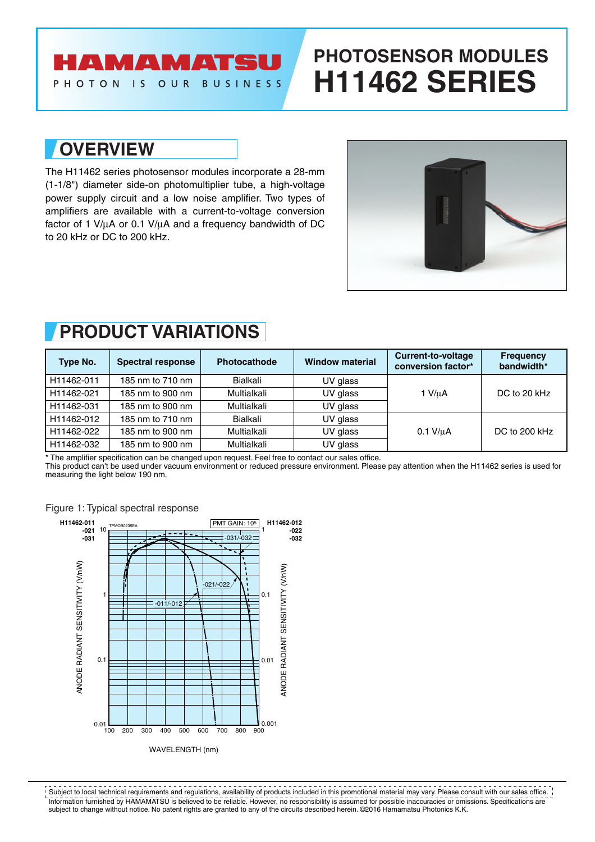## **AMAMATSU**

PHOTON IS OUR BUSINESS

# **PHOTOSENSOR MODULES H11462 SERIES**

## **OVERVIEW**

The H11462 series photosensor modules incorporate a 28-mm (1-1/8") diameter side-on photomultiplier tube, a high-voltage power supply circuit and a low noise amplifier. Two types of amplifiers are available with a current-to-voltage conversion factor of 1 V/µA or 0.1 V/µA and a frequency bandwidth of DC to 20 kHz or DC to 200 kHz.



## **PRODUCT VARIATIONS**

| Type No.   | <b>Spectral response</b> | <b>Photocathode</b> | <b>Window material</b> | <b>Current-to-voltage</b><br>conversion factor* | <b>Frequency</b><br>bandwidth* |
|------------|--------------------------|---------------------|------------------------|-------------------------------------------------|--------------------------------|
| H11462-011 | 185 nm to 710 nm         | Bialkali            | UV glass               |                                                 | DC to 20 kHz                   |
| H11462-021 | 185 nm to 900 nm         | Multialkali         | UV glass               | 1 V/uA                                          |                                |
| H11462-031 | 185 nm to 900 nm         | Multialkali         | UV glass               |                                                 |                                |
| H11462-012 | 185 nm to 710 nm         | Bialkali            | UV glass               |                                                 |                                |
| H11462-022 | 185 nm to 900 nm         | Multialkali         | UV glass               | $0.1$ V/ $\mu$ A                                | DC to 200 kHz                  |
| H11462-032 | 185 nm to 900 nm         | Multialkali         | UV glass               |                                                 |                                |

\* The amplifier specification can be changed upon request. Feel free to contact our sales office.

This product can't be used under vacuum environment or reduced pressure environment. Please pay attention when the H11462 series is used for measuring the light below 190 nm.



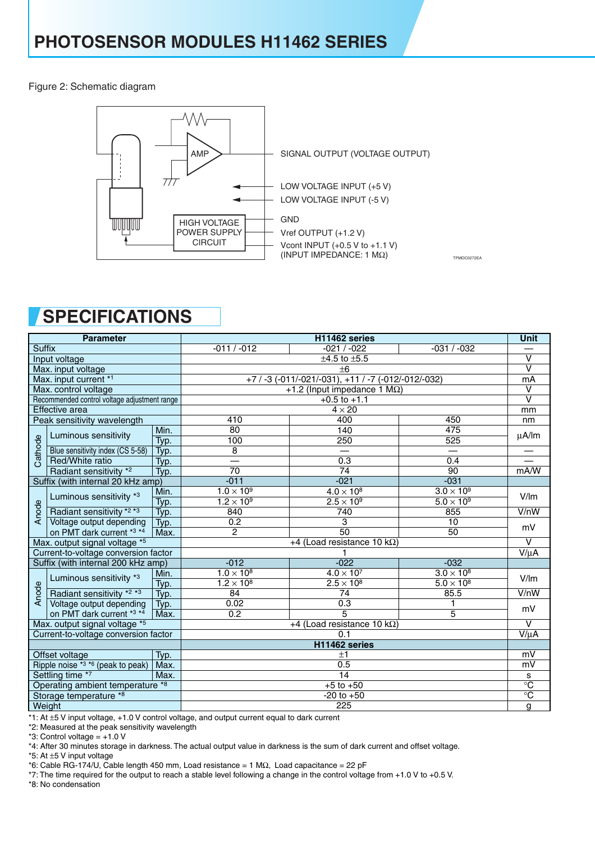Figure 2: Schematic diagram



TPMOC0272EA

## **SPECIFICATIONS**

| <b>Parameter</b>                 |                                              | H11462 series                                   |                                     |                                     |                         |                         |  |
|----------------------------------|----------------------------------------------|-------------------------------------------------|-------------------------------------|-------------------------------------|-------------------------|-------------------------|--|
| <b>Suffix</b>                    |                                              | $-011 / -012$                                   | $-021/ -022$                        | $-031 / -032$                       | $\overline{\mathsf{v}}$ |                         |  |
| Input voltage                    |                                              | $±4.5$ to $±5.5$                                |                                     |                                     |                         |                         |  |
| Max. input voltage               |                                              | ±6                                              |                                     |                                     |                         |                         |  |
| Max. input current *1            |                                              | +7/-3 (-011/-021/-031), +11/-7 (-012/-012/-032) |                                     |                                     |                         |                         |  |
| Max. control voltage             |                                              | +1.2 (Input impedance 1 $M\Omega$ )             |                                     |                                     |                         |                         |  |
|                                  | Recommended control voltage adjustment range |                                                 |                                     | $+0.5$ to $+1.1$                    |                         | $\overline{\mathsf{v}}$ |  |
|                                  | Effective area                               |                                                 | $4 \times 20$                       |                                     |                         |                         |  |
|                                  | Peak sensitivity wavelength                  |                                                 | 410                                 | 400                                 | 450                     | nm                      |  |
|                                  |                                              | Min.                                            | 80                                  | 140                                 | 475                     | μA/lm                   |  |
|                                  | Luminous sensitivity                         | Typ.                                            | 100                                 | 250                                 | 525                     |                         |  |
| Cathode                          | Blue sensitivity index (CS 5-58)             | Typ.                                            | 8                                   |                                     |                         |                         |  |
|                                  | Red/White ratio                              | Typ.                                            |                                     | 0.3                                 | 0.4                     |                         |  |
|                                  | Radiant sensitivity *2                       | Typ.                                            | 70                                  | 74                                  | 90                      | mA/W                    |  |
|                                  | Suffix (with internal 20 kHz amp)            |                                                 | $-011$                              | $-021$                              | $-031$                  |                         |  |
|                                  | Luminous sensitivity *3                      | Min.                                            | $1.0 \times 10^9$                   | $4.0 \times 10^8$                   | $3.0 \times 10^9$       | V/m                     |  |
|                                  |                                              | Typ.                                            | $1.2 \times 10^{9}$                 | $2.5 \times 10^9$                   | $5.0 \times 10^9$       |                         |  |
| Anode                            | Radiant sensitivity *2 *3                    | Typ.                                            | 840                                 | 740                                 | 855                     | V/nW                    |  |
|                                  | Voltage output depending                     | Typ.                                            | 0.2                                 | 3                                   | 10                      | mV                      |  |
|                                  | on PMT dark current *3 *4                    | Max.                                            | $\overline{c}$                      | $\overline{50}$                     | 50                      | $\overline{\mathsf{v}}$ |  |
|                                  | Max. output signal voltage *5                |                                                 | +4 (Load resistance 10 k $\Omega$ ) |                                     |                         |                         |  |
|                                  | Current-to-voltage conversion factor         |                                                 |                                     | 1                                   |                         | $V/\mu A$               |  |
|                                  | Suffix (with internal 200 kHz amp)           |                                                 | $-012$                              | $-022$                              | $-032$                  |                         |  |
|                                  | Luminous sensitivity *3                      | Min.                                            | $1.0 \times 10^{8}$                 | $4.0 \times 10^{7}$                 | $3.0 \times 10^8$       | V/m                     |  |
|                                  |                                              | Typ.                                            | $1.2 \times 10^8$                   | $2.5 \times 10^8$                   | $5.0 \times 10^8$       |                         |  |
| Anode                            | Radiant sensitivity *2 *3                    | Typ.                                            | 84                                  | 74                                  | 85.5                    | V/nW                    |  |
|                                  | Voltage output depending                     | Typ.                                            | 0.02                                | 0.3                                 | 1                       | mV                      |  |
|                                  | on PMT dark current *3 *4                    | Max.                                            | 0.2                                 | 5                                   | 5                       |                         |  |
|                                  | Max. output signal voltage *5                |                                                 |                                     | +4 (Load resistance 10 k $\Omega$ ) |                         | $\vee$                  |  |
|                                  | Current-to-voltage conversion factor         |                                                 |                                     | 0.1                                 |                         | $V/\mu A$               |  |
|                                  |                                              |                                                 |                                     | H11462 series                       |                         |                         |  |
|                                  | Offset voltage                               | Typ.                                            |                                     | ±1                                  |                         | mV                      |  |
|                                  | Ripple noise $*3 *6$ (peak to peak)          | Max.                                            |                                     | 0.5                                 |                         | mV                      |  |
| Settling time *7                 |                                              | Max.                                            | 14                                  |                                     |                         |                         |  |
| Operating ambient temperature *8 |                                              | $+5$ to $+50$                                   |                                     |                                     |                         |                         |  |
| Storage temperature *8           |                                              | $-20$ to $+50$                                  |                                     |                                     |                         |                         |  |
|                                  | Weight                                       |                                                 |                                     | 225                                 |                         | g                       |  |

\*1: At ±5 V input voltage, +1.0 V control voltage, and output current equal to dark current

\*2: Measured at the peak sensitivity wavelength

 $*3$ : Control voltage =  $+1.0$  V

\*4: After 30 minutes storage in darkness. The actual output value in darkness is the sum of dark current and offset voltage.

\*5: At ±5 V input voltage

\*6: Cable RG-174/U, Cable length 450 mm, Load resistance = 1 MΩ, Load capacitance = 22 pF

\*7: The time required for the output to reach a stable level following a change in the control voltage from +1.0 V to +0.5 V.

\*8: No condensation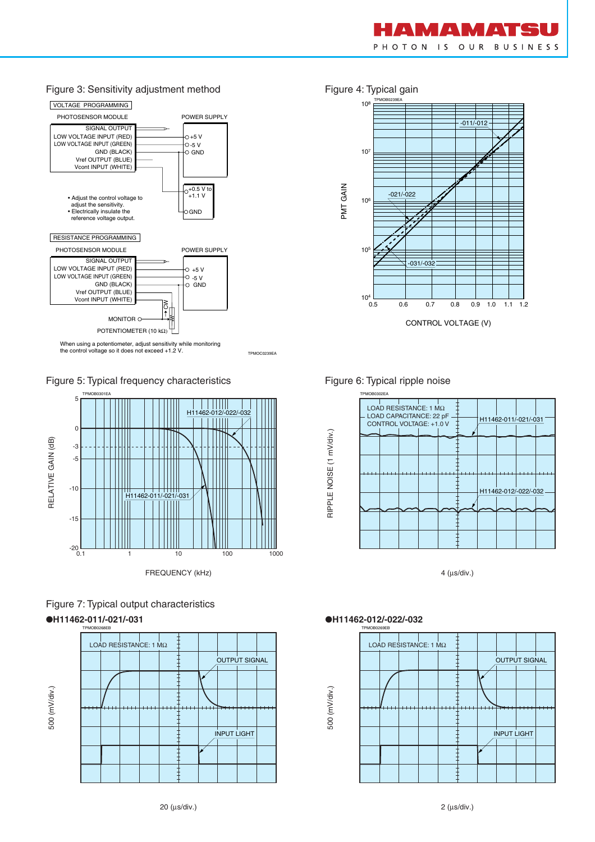

### Figure 3: Sensitivity adjustment method Figure 4: Typical gain



TPMOC0239EA

Figure 5: Typical frequency characteristics





●**H11462-011/-021/-031** ●**H11462-012/-022/-032**





### Figure 6: Typical ripple noise



4 (µs/div.)



RIPPLE NOISE (1 mV/div.)

RIPPLE NOISE (1 mV/div.)

500 (mV/div.)

500 (mV/div.)